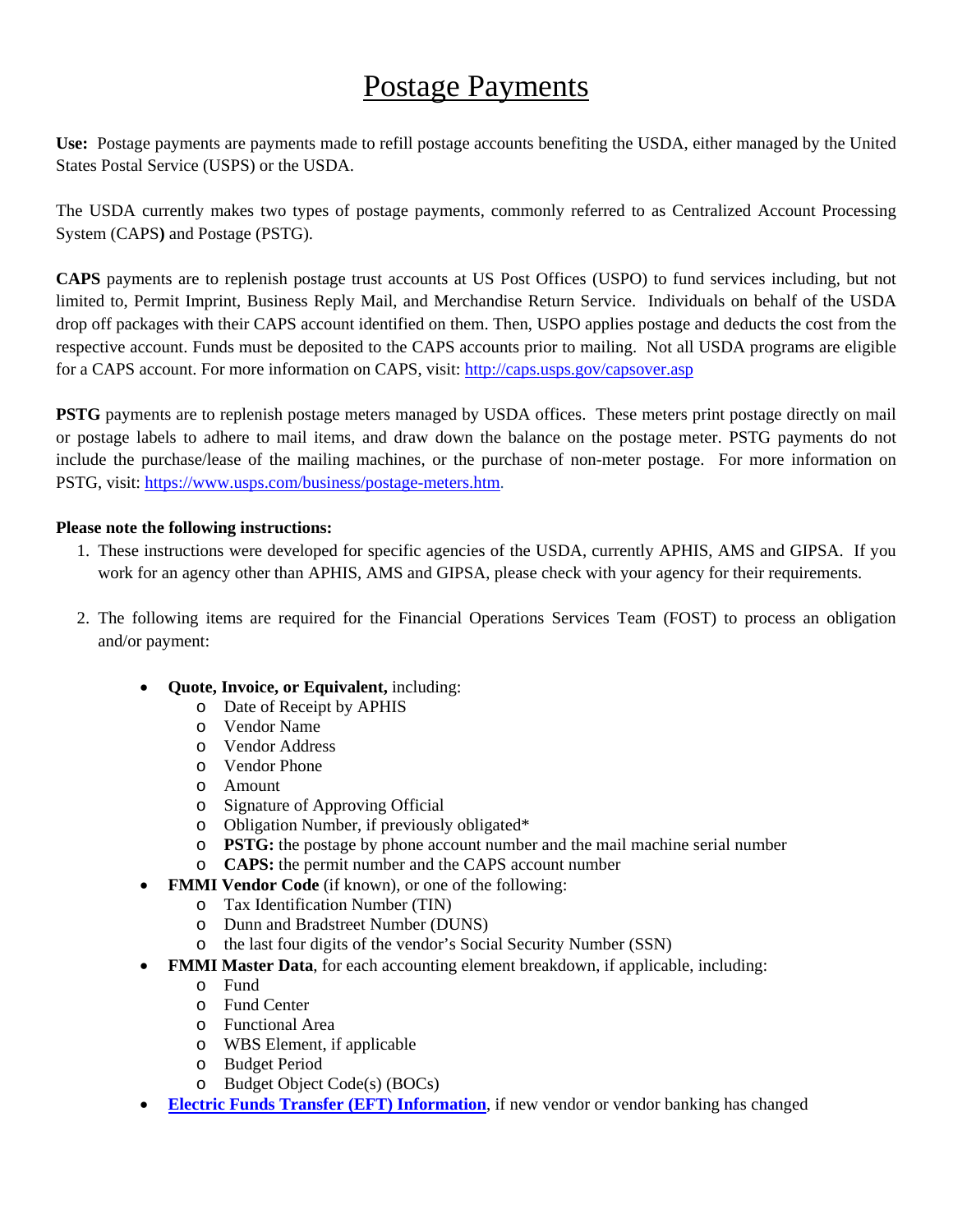## Postage Payments

**Use:** Postage payments are payments made to refill postage accounts benefiting the USDA, either managed by the United States Postal Service (USPS) or the USDA.

The USDA currently makes two types of postage payments, commonly referred to as Centralized Account Processing System (CAPS**)** and Postage (PSTG).

**CAPS** payments are to replenish postage trust accounts at US Post Offices (USPO) to fund services including, but not limited to, Permit Imprint, Business Reply Mail, and Merchandise Return Service. Individuals on behalf of the USDA drop off packages with their CAPS account identified on them. Then, USPO applies postage and deducts the cost from the respective account. Funds must be deposited to the CAPS accounts prior to mailing. Not all USDA programs are eligible for a CAPS account. For more information on CAPS, visit: http://caps.usps.gov/capsover.asp

**PSTG** payments are to replenish postage meters managed by USDA offices. These meters print postage directly on mail or postage labels to adhere to mail items, and draw down the balance on the postage meter. PSTG payments do not include the purchase/lease of the mailing machines, or the purchase of non-meter postage. For more information on PSTG, visit: https://www.usps.com/business/postage-meters.htm.

## **Please note the following instructions:**

- 1. These instructions were developed for specific agencies of the USDA, currently APHIS, AMS and GIPSA. If you work for an agency other than APHIS, AMS and GIPSA, please check with your agency for their requirements.
- 2. The following items are required for the Financial Operations Services Team (FOST) to process an obligation and/or payment:
	- **Quote, Invoice, or Equivalent,** including:
		- o Date of Receipt by APHIS
		- o Vendor Name
		- o Vendor Address
		- o Vendor Phone
		- o Amount
		- o Signature of Approving Official
		- o Obligation Number, if previously obligated\*
		- o **PSTG:** the postage by phone account number and the mail machine serial number
		- o **CAPS:** the permit number and the CAPS account number
	- **FMMI Vendor Code** (if known), or one of the following:
		- o Tax Identification Number (TIN)
		- o Dunn and Bradstreet Number (DUNS)
		- o the last four digits of the vendor's Social Security Number (SSN)
	- **FMMI Master Data**, for each accounting element breakdown, if applicable, including:
		- o Fund
		- o Fund Center
		- o Functional Area
		- o WBS Element, if applicable
		- o Budget Period
		- o Budget Object Code(s) (BOCs)
	- **[Electric Funds Transfer \(EFT\) Information](http://www.aphis.usda.gov/wps/portal/aphis/ourfocus/business-services?1dmy&urile=wcm%3apath%3a%2Faphis_content_library%2Fsa_our_focus%2Fsa_business_services%2Fsa_mrpbs_divisions%2Fsa_fmd%2Fsa_branches_teams%2Fsa_financial_operations_branch%2Fct_fost_eft)**, if new vendor or vendor banking has changed